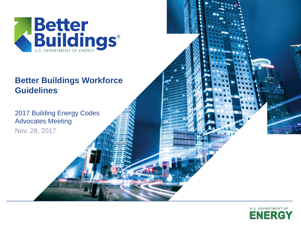

### **Cultural To Edit Massers Better Buildings Workforce Guidelines**

**2017 Building Energy Codes** Advocates Meeting

Nov. 28, 2017

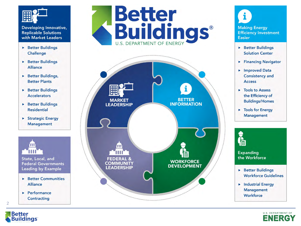

**Replicable Solutions** with Market Leaders

- Better Buildings Challenge
- Better Buildings **Alliance**
- Better Buildings, **Better Plants**
- ▶ Better Buildings **Accelerators**
- Better Buildings **Residential**
- ▶ Strategic Energy **Management**



State, Local, and **Federal Governments Leading by Example** 

- **Better Communities Alliance**
- Performance Contracting





**Making Energy Efficiency Investment Easier** 

- Better Buildings **Solution Center**
- Financing Navigator
- Improved Data **Consistency and Access**
- ▶ Tools to Assess the Efficiency of **Buildings/Homes**
- Tools for Energy **Management**



#### **Expanding** the Workforce

- Better Buildings **Workforce Guidelines**
- Industrial Energy **Management** Workforce



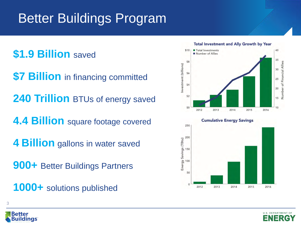## Better Buildings Program

## **\$1.9 Billion** saved

**\$7 Billion** in financing committed

**240 Trillion BTUs of energy saved** 

**4.4 Billion** square footage covered

**4 Billion** gallons in water saved

**900+** Better Buildings Partners

**1000+** solutions published





Better uildings

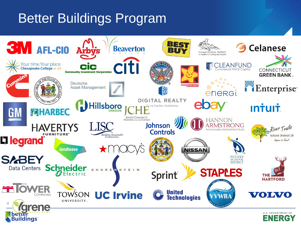## Better Buildings Program

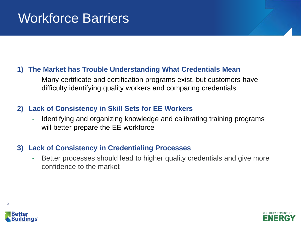## Workforce Barriers

#### **1) The Market has Trouble Understanding What Credentials Mean**

Many certificate and certification programs exist, but customers have difficulty identifying quality workers and comparing credentials

### **2) Lack of Consistency in Skill Sets for EE Workers**

- Identifying and organizing knowledge and calibrating training programs will better prepare the EE workforce

#### **3) Lack of Consistency in Credentialing Processes**

Better processes should lead to higher quality credentials and give more confidence to the market



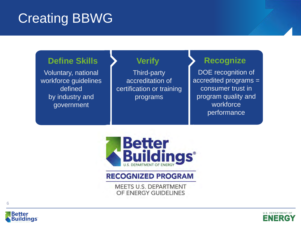## Creating BBWG

## **Define Skills**

Voluntary, national workforce guidelines defined by industry and government

## **Verify**

Third-party accreditation of certification or training programs

## **Recognize**

DOE recognition of accredited programs = consumer trust in program quality and workforce performance



### **RECOGNIZED PROGRAM**

**MEETS U.S. DEPARTMENT** OF ENERGY GUIDELINES



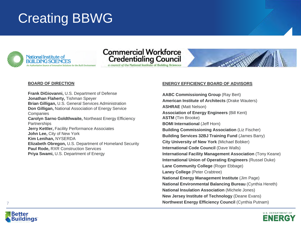## Creating BBWG





a council of the National Institute of Building Sciences



#### **BOARD OF DIRECTION**

**Frank DiGiovanni,** U.S. Department of Defense **Jonathan Flaherty,** Tishman Speyer **Brian Gilligan,** U.S. General Services Administration **Don Gilligan,** National Association of Energy Service **Companies Carolyn Sarno Goldthwaite,** Northeast Energy Efficiency **Partnerships Jerry Kettler,** Facility Performance Associates **John Lee,** City of New York **Kim Lenihan,** NYSERDA **Elizabeth Obregon,** U.S. Department of Homeland Security **Paul Rode,** RXR Construction Services **Priya Swami,** U.S. Department of Energy

#### **ENERGY EFFICIENCY BOARD OF ADVISORS**

**AABC Commissioning Group** (Ray Bert) **American Institute of Architects** (Drake Wauters) **ASHRAE** (Matt Nelson) **Association of Energy Engineers** (Bill Kent) **ASTM** (Tim Brooke) **BOMI International (Jeff Horn) Building Commissioning Association** (Liz Fischer) **Building Services 32BJ Training Fund** (James Barry) **City University of New York** (Michael Bobker) **International Code Council (Dave Walls) International Facility Management Association** (Tony Keane) **International Union of Operating Engineers** (Russel Duke) **Lane Community College** (Roger Ebbage) **Laney College** (Peter Crabtree) **National Energy Management Institute** (Jim Page) **National Environmental Balancing Bureau** (Cynthia Hereth) **National Insulation Association** (Michele Jones) **New Jersey Institute of Technology** (Deane Evans) **Northwest Energy Efficiency Council** (Cynthia Putnam)



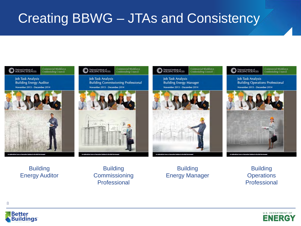## Creating BBWG – JTAs and Consistency

#### Commercial Workforce<br>Credentialing Council National Institute of<br>BUILDING SCIENCES

**Job Task Analysis Building Energy Auditor** November 2013 - December 2014





**Job Task Analysis Building Commissioning Professional** November 2013 - December 2014



Commercial Workforce<br>Credentialing Council Sational Institute of

> **Job Task Analysis Building Energy Manager** November 2013 - December 2014





National Institute of

Commercial Worldorce<br>Credentialing Council

**Job Task Analysis Building Operations Professional** November 2013 - December 2014



**Building** Energy Auditor

**Building Commissioning** Professional

**Building** Energy Manager

**Building Operations** Professional



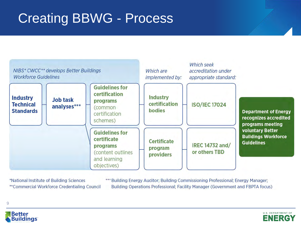## Creating BBWG - Process



\*National Institute of Building Sciences \*\*Commercial Workforce Credentialing Council \*\*\* Building Energy Auditor; Building Commissioning Professional; Energy Manager; Building Operations Professional; Facility Manager (Government and FBPTA focus)



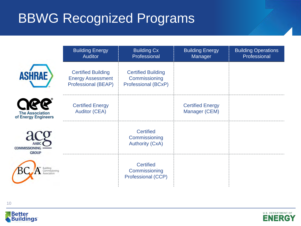## BBWG Recognized Programs

|                                               | <b>Building Energy</b><br><b>Auditor</b>                                            | <b>Building Cx</b><br>Professional                                | <b>Building Energy</b><br>Manager        | <b>Building Operations</b><br>Professional |
|-----------------------------------------------|-------------------------------------------------------------------------------------|-------------------------------------------------------------------|------------------------------------------|--------------------------------------------|
| <b>ASHRAE</b>                                 | <b>Certified Building</b><br><b>Energy Assessment</b><br><b>Professional (BEAP)</b> | <b>Certified Building</b><br>Commissioning<br>Professional (BCxP) |                                          |                                            |
| <b>The Association</b><br>of Energy Engineers | <b>Certified Energy</b><br><b>Auditor (CEA)</b>                                     |                                                                   | <b>Certified Energy</b><br>Manager (CEM) |                                            |
| <b>COMMISSIONING</b><br><b>GROUP</b>          |                                                                                     | <b>Certified</b><br>Commissioning<br><b>Authority (CxA)</b>       |                                          |                                            |
|                                               |                                                                                     | <b>Certified</b><br>Commissioning<br>Professional (CCP)           |                                          |                                            |

Better<br>Buildings

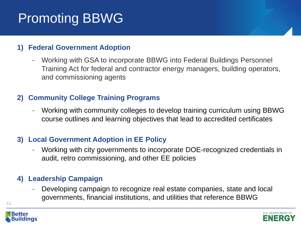# Promoting BBWG

### **1) Federal Government Adoption**

- Working with GSA to incorporate BBWG into Federal Buildings Personnel Training Act for federal and contractor energy managers, building operators, and commissioning agents

#### **2) Community College Training Programs**

- Working with community colleges to develop training curriculum using BBWG course outlines and learning objectives that lead to accredited certificates

#### **3) Local Government Adoption in EE Policy**

- Working with city governments to incorporate DOE-recognized credentials in audit, retro commissioning, and other EE policies

### **4) Leadership Campaign**

Developing campaign to recognize real estate companies, state and local governments, financial institutions, and utilities that reference BBWG